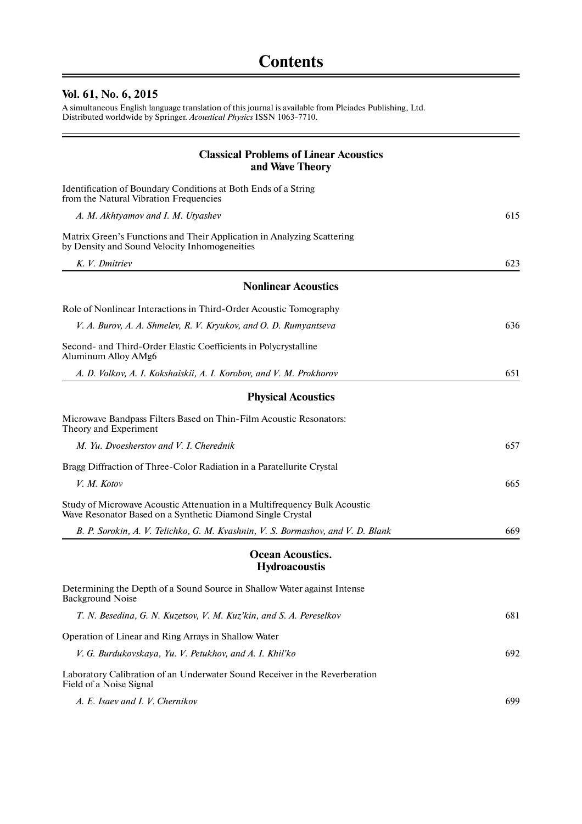## **Vol. 61, No. 6, 2015**

 $\overline{a}$ 

A simultaneous English language translation of this journal is available from Pleiades Publishing, Ltd. Distributed worldwide by Springer. *Acoustical Physics* ISSN 1063-7710.

## **Classical Problems of Linear Acoustics and Wave Theory**

| Identification of Boundary Conditions at Both Ends of a String<br>from the Natural Vibration Frequencies                                |     |
|-----------------------------------------------------------------------------------------------------------------------------------------|-----|
| A. M. Akhtyamov and I. M. Utyashev                                                                                                      | 615 |
| Matrix Green's Functions and Their Application in Analyzing Scattering<br>by Density and Sound Velocity Inhomogeneities                 |     |
| K. V. Dmitriev                                                                                                                          | 623 |
| <b>Nonlinear Acoustics</b>                                                                                                              |     |
| Role of Nonlinear Interactions in Third-Order Acoustic Tomography                                                                       |     |
| V. A. Burov, A. A. Shmelev, R. V. Kryukov, and O. D. Rumyantseva                                                                        | 636 |
| Second- and Third-Order Elastic Coefficients in Polycrystalline<br>Aluminum Alloy AMg6                                                  |     |
| A. D. Volkov, A. I. Kokshaiskii, A. I. Korobov, and V. M. Prokhorov                                                                     | 651 |
| <b>Physical Acoustics</b>                                                                                                               |     |
| Microwave Bandpass Filters Based on Thin-Film Acoustic Resonators:<br>Theory and Experiment                                             |     |
| M. Yu. Dvoesherstov and V. I. Cherednik                                                                                                 | 657 |
| Bragg Diffraction of Three-Color Radiation in a Paratellurite Crystal                                                                   |     |
| V. M. Kotov                                                                                                                             | 665 |
| Study of Microwave Acoustic Attenuation in a Multifrequency Bulk Acoustic<br>Wave Resonator Based on a Synthetic Diamond Single Crystal |     |
| B. P. Sorokin, A. V. Telichko, G. M. Kvashnin, V. S. Bormashov, and V. D. Blank                                                         | 669 |
| <b>Ocean Acoustics.</b><br><b>Hydroacoustis</b>                                                                                         |     |
| Determining the Depth of a Sound Source in Shallow Water against Intense<br><b>Background Noise</b>                                     |     |
| T. N. Besedina, G. N. Kuzetsov, V. M. Kuz'kin, and S. A. Pereselkov                                                                     | 681 |
| Operation of Linear and Ring Arrays in Shallow Water                                                                                    |     |
| V. G. Burdukovskaya, Yu. V. Petukhov, and A. I. Khil'ko                                                                                 | 692 |
| Laboratory Calibration of an Underwater Sound Receiver in the Reverberation<br>Field of a Noise Signal                                  |     |
| A. E. Isaev and I. V. Chernikov                                                                                                         | 699 |